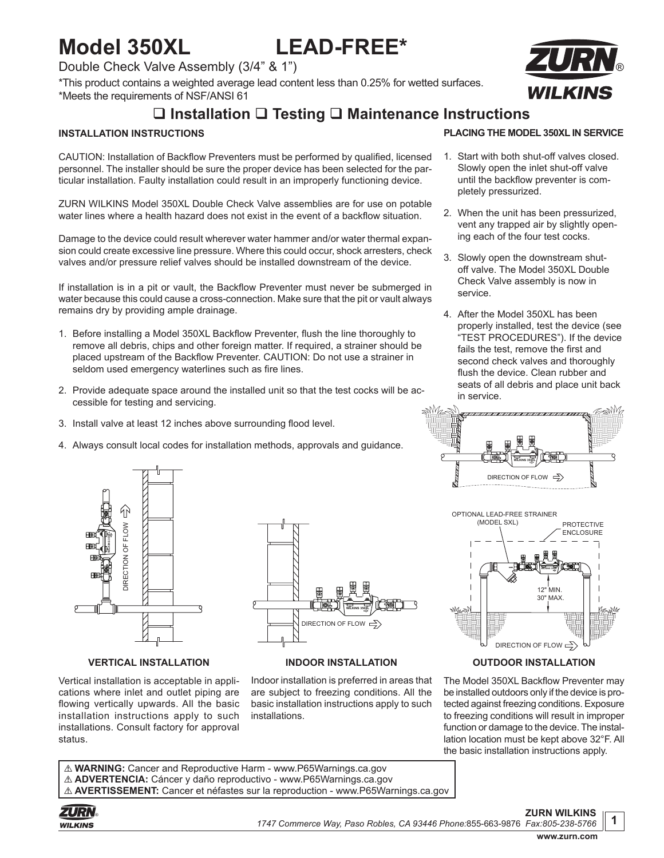# **Model 350XL LEAD-FREE\***

Double Check Valve Assembly (3/4" & 1")

\*This product contains a weighted average lead content less than 0.25% for wetted surfaces. \*Meets the requirements of NSF/ANSI 61

## **Installation Testing Maintenance Instructions**

#### **INSTALLATION INSTRUCTIONS**

CAUTION: Installation of Backflow Preventers must be performed by qualified, licensed personnel. The installer should be sure the proper device has been selected for the particular installation. Faulty installation could result in an improperly functioning device.

ZURN WILKINS Model 350XL Double Check Valve assemblies are for use on potable water lines where a health hazard does not exist in the event of a backflow situation.

Damage to the device could result wherever water hammer and/or water thermal expansion could create excessive line pressure. Where this could occur, shock arresters, check valves and/or pressure relief valves should be installed downstream of the device.

If installation is in a pit or vault, the Backflow Preventer must never be submerged in water because this could cause a cross-connection. Make sure that the pit or vault always remains dry by providing ample drainage.

- 1. Before installing a Model 350XL Backflow Preventer, flush the line thoroughly to remove all debris, chips and other foreign matter. If required, a strainer should be placed upstream of the Backflow Preventer. CAUTION: Do not use a strainer in seldom used emergency waterlines such as fire lines.
- 2. Provide adequate space around the installed unit so that the test cocks will be accessible for testing and servicing.
- 3. Install valve at least 12 inches above surrounding flood level.
- 4. Always consult local codes for installation methods, approvals and guidance.



#### **VERTICAL INSTALLATION**

Vertical installation is acceptable in applications where inlet and outlet piping are flowing vertically upwards. All the basic installation instructions apply to such installations. Consult factory for approval status.



#### **INDOOR INSTALLATION**

Indoor installation is preferred in areas that are subject to freezing conditions. All the basic installation instructions apply to such installations.



- 1. Start with both shut-off valves closed. Slowly open the inlet shut-off valve until the backflow preventer is completely pressurized.
- 2. When the unit has been pressurized, vent any trapped air by slightly opening each of the four test cocks.
- 3. Slowly open the downstream shutoff valve. The Model 350XL Double Check Valve assembly is now in service.
- 4. After the Model 350XL has been properly installed, test the device (see "TEST PROCEDURES"). If the device fails the test, remove the first and second check valves and thoroughly flush the device. Clean rubber and seats of all debris and place unit back in service.





#### **OUTDOOR INSTALLATION**

The Model 350XL Backflow Preventer may be installed outdoors only if the device is protected against freezing conditions. Exposure to freezing conditions will result in improper function or damage to the device. The installation location must be kept above 32°F. All the basic installation instructions apply.

! **WARNING:** Cancer and Reproductive Harm - www.P65Warnings.ca.gov ! **ADVERTENCIA:** Cáncer y daño reproductivo - www.P65Warnings.ca.gov ! **AVERTISSEMENT:** Cancer et néfastes sur la reproduction - www.P65Warnings.ca.gov



**1**

**ZURN WILKINS**

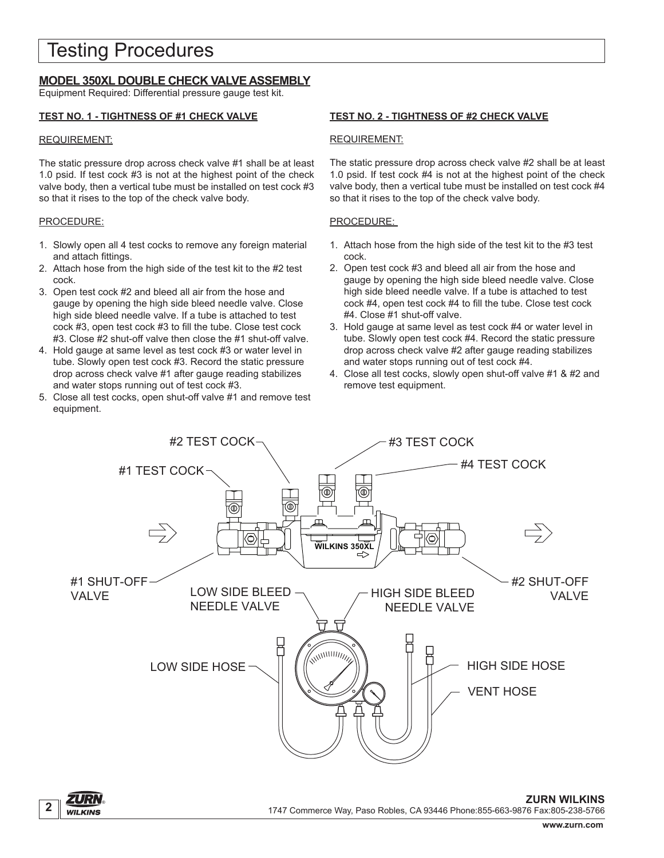## Testing Procedures

### **MODEL 350XL DOUBLE CHECK VALVE ASSEMBLY**

Equipment Required: Differential pressure gauge test kit.

#### **TEST NO. 1 - TIGHTNESS OF #1 CHECK VALVE**

#### REQUIREMENT:

The static pressure drop across check valve #1 shall be at least 1.0 psid. If test cock #3 is not at the highest point of the check valve body, then a vertical tube must be installed on test cock #3 so that it rises to the top of the check valve body.

#### PROCEDURE:

- 1. Slowly open all 4 test cocks to remove any foreign material and attach fittings.
- 2. Attach hose from the high side of the test kit to the #2 test cock.
- 3. Open test cock #2 and bleed all air from the hose and gauge by opening the high side bleed needle valve. Close high side bleed needle valve. If a tube is attached to test cock #3, open test cock #3 to fill the tube. Close test cock #3. Close #2 shut-off valve then close the #1 shut-off valve.
- 4. Hold gauge at same level as test cock #3 or water level in tube. Slowly open test cock #3. Record the static pressure drop across check valve #1 after gauge reading stabilizes and water stops running out of test cock #3.
- 5. Close all test cocks, open shut-off valve #1 and remove test equipment.

#### **TEST NO. 2 - TIGHTNESS OF #2 CHECK VALVE**

#### REQUIREMENT:

The static pressure drop across check valve #2 shall be at least 1.0 psid. If test cock #4 is not at the highest point of the check valve body, then a vertical tube must be installed on test cock #4 so that it rises to the top of the check valve body.

#### PROCEDURE:

- 1. Attach hose from the high side of the test kit to the #3 test cock.
- 2. Open test cock #3 and bleed all air from the hose and gauge by opening the high side bleed needle valve. Close high side bleed needle valve. If a tube is attached to test cock #4, open test cock #4 to fill the tube. Close test cock #4. Close #1 shut-off valve.
- 3. Hold gauge at same level as test cock #4 or water level in tube. Slowly open test cock #4. Record the static pressure drop across check valve #2 after gauge reading stabilizes and water stops running out of test cock #4.
- 4. Close all test cocks, slowly open shut-off valve #1 & #2 and remove test equipment.

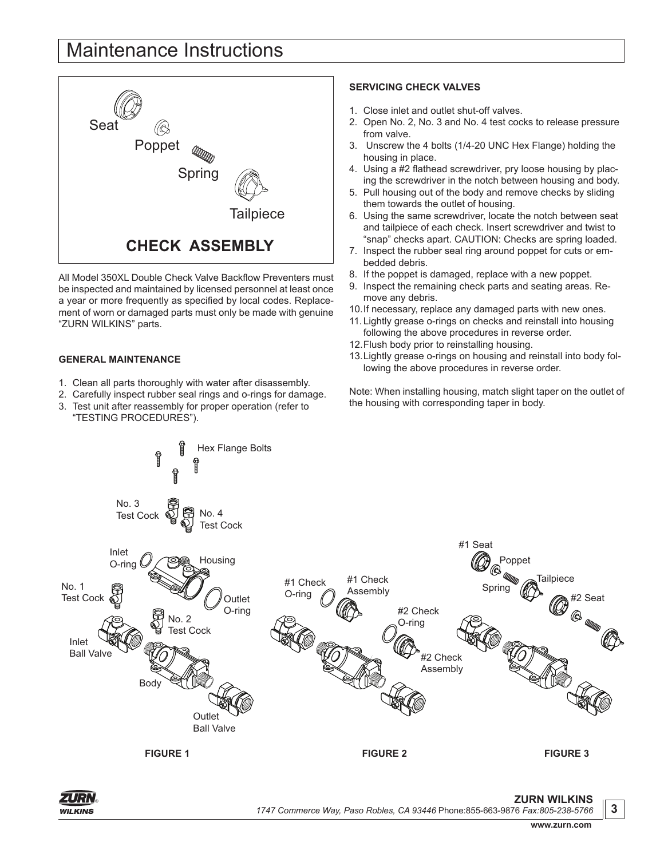## Maintenance Instructions



All Model 350XL Double Check Valve Backflow Preventers must be inspected and maintained by licensed personnel at least once a year or more frequently as specified by local codes. Replacement of worn or damaged parts must only be made with genuine "ZURN WILKINS" parts.

#### **GENERAL MAINTENANCE**

- 1. Clean all parts thoroughly with water after disassembly.
- 2. Carefully inspect rubber seal rings and o-rings for damage.
- 3. Test unit after reassembly for proper operation (refer to "TESTING PROCEDURES").

#### **SERVICING CHECK VALVES**

- 1. Close inlet and outlet shut-off valves.
- 2. Open No. 2, No. 3 and No. 4 test cocks to release pressure from valve.
- 3. Unscrew the 4 bolts (1/4-20 UNC Hex Flange) holding the housing in place.
- 4. Using a #2 flathead screwdriver, pry loose housing by placing the screwdriver in the notch between housing and body.
- 5. Pull housing out of the body and remove checks by sliding them towards the outlet of housing.
- 6. Using the same screwdriver, locate the notch between seat and tailpiece of each check. Insert screwdriver and twist to "snap" checks apart. CAUTION: Checks are spring loaded.
- 7. Inspect the rubber seal ring around poppet for cuts or embedded debris.
- 8. If the poppet is damaged, replace with a new poppet.
- 9. Inspect the remaining check parts and seating areas. Remove any debris.
- 10.If necessary, replace any damaged parts with new ones.
- 11.Lightly grease o-rings on checks and reinstall into housing following the above procedures in reverse order.
- 12.Flush body prior to reinstalling housing.
- 13.Lightly grease o-rings on housing and reinstall into body following the above procedures in reverse order.

Note: When installing housing, match slight taper on the outlet of the housing with corresponding taper in body.